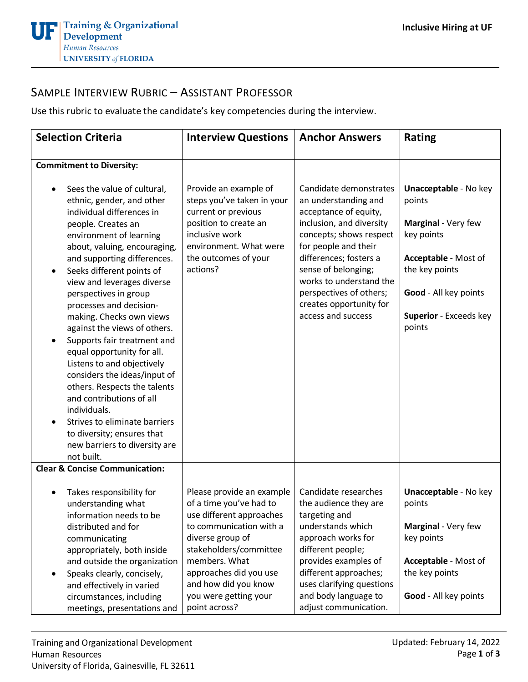## SAMPLE INTERVIEW RUBRIC – ASSISTANT PROFESSOR

Use this rubric to evaluate the candidate's key competencies during the interview.

| <b>Selection Criteria</b>                                                                                                                                                                                                                                                                                                                                                                                                                                                                                                                                                                                                                                                                                                       | <b>Interview Questions</b>                                                                                                                                                          | <b>Anchor Answers</b>                                                                                                                                                                                                                                                                                          | <b>Rating</b>                                                                                                                                                                      |
|---------------------------------------------------------------------------------------------------------------------------------------------------------------------------------------------------------------------------------------------------------------------------------------------------------------------------------------------------------------------------------------------------------------------------------------------------------------------------------------------------------------------------------------------------------------------------------------------------------------------------------------------------------------------------------------------------------------------------------|-------------------------------------------------------------------------------------------------------------------------------------------------------------------------------------|----------------------------------------------------------------------------------------------------------------------------------------------------------------------------------------------------------------------------------------------------------------------------------------------------------------|------------------------------------------------------------------------------------------------------------------------------------------------------------------------------------|
|                                                                                                                                                                                                                                                                                                                                                                                                                                                                                                                                                                                                                                                                                                                                 |                                                                                                                                                                                     |                                                                                                                                                                                                                                                                                                                |                                                                                                                                                                                    |
| <b>Commitment to Diversity:</b>                                                                                                                                                                                                                                                                                                                                                                                                                                                                                                                                                                                                                                                                                                 |                                                                                                                                                                                     |                                                                                                                                                                                                                                                                                                                |                                                                                                                                                                                    |
| Sees the value of cultural,<br>ethnic, gender, and other<br>individual differences in<br>people. Creates an<br>environment of learning<br>about, valuing, encouraging,<br>and supporting differences.<br>Seeks different points of<br>$\bullet$<br>view and leverages diverse<br>perspectives in group<br>processes and decision-<br>making. Checks own views<br>against the views of others.<br>Supports fair treatment and<br>$\bullet$<br>equal opportunity for all.<br>Listens to and objectively<br>considers the ideas/input of<br>others. Respects the talents<br>and contributions of all<br>individuals.<br>Strives to eliminate barriers<br>to diversity; ensures that<br>new barriers to diversity are<br>not built. | Provide an example of<br>steps you've taken in your<br>current or previous<br>position to create an<br>inclusive work<br>environment. What were<br>the outcomes of your<br>actions? | Candidate demonstrates<br>an understanding and<br>acceptance of equity,<br>inclusion, and diversity<br>concepts; shows respect<br>for people and their<br>differences; fosters a<br>sense of belonging;<br>works to understand the<br>perspectives of others;<br>creates opportunity for<br>access and success | <b>Unacceptable - No key</b><br>points<br>Marginal - Very few<br>key points<br>Acceptable - Most of<br>the key points<br>Good - All key points<br>Superior - Exceeds key<br>points |
| <b>Clear &amp; Concise Communication:</b>                                                                                                                                                                                                                                                                                                                                                                                                                                                                                                                                                                                                                                                                                       |                                                                                                                                                                                     |                                                                                                                                                                                                                                                                                                                |                                                                                                                                                                                    |
| Takes responsibility for<br>understanding what<br>information needs to be<br>distributed and for                                                                                                                                                                                                                                                                                                                                                                                                                                                                                                                                                                                                                                | Please provide an example<br>of a time you've had to<br>use different approaches<br>to communication with a                                                                         | Candidate researches<br>the audience they are<br>targeting and<br>understands which                                                                                                                                                                                                                            | <b>Unacceptable - No key</b><br>points<br>Marginal - Very few                                                                                                                      |
| communicating<br>appropriately, both inside                                                                                                                                                                                                                                                                                                                                                                                                                                                                                                                                                                                                                                                                                     | diverse group of<br>stakeholders/committee                                                                                                                                          | approach works for<br>different people;                                                                                                                                                                                                                                                                        | key points                                                                                                                                                                         |
| and outside the organization<br>Speaks clearly, concisely,<br>$\bullet$<br>and effectively in varied                                                                                                                                                                                                                                                                                                                                                                                                                                                                                                                                                                                                                            | members. What<br>approaches did you use<br>and how did you know                                                                                                                     | provides examples of<br>different approaches;<br>uses clarifying questions                                                                                                                                                                                                                                     | Acceptable - Most of<br>the key points                                                                                                                                             |
| circumstances, including<br>meetings, presentations and                                                                                                                                                                                                                                                                                                                                                                                                                                                                                                                                                                                                                                                                         | you were getting your<br>point across?                                                                                                                                              | and body language to<br>adjust communication.                                                                                                                                                                                                                                                                  | Good - All key points                                                                                                                                                              |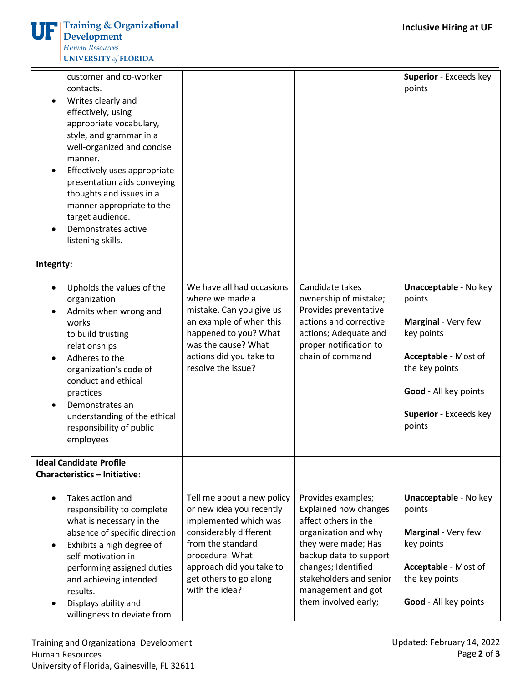| customer and co-worker<br>contacts.<br>Writes clearly and<br>effectively, using<br>appropriate vocabulary,<br>style, and grammar in a<br>well-organized and concise<br>manner.<br>Effectively uses appropriate<br>presentation aids conveying<br>thoughts and issues in a<br>manner appropriate to the<br>target audience.<br>Demonstrates active<br>listening skills. |                                                                                                                                                                                                                           |                                                                                                                                                                                                                                                     | Superior - Exceeds key<br>points                                                                                                                                                   |
|------------------------------------------------------------------------------------------------------------------------------------------------------------------------------------------------------------------------------------------------------------------------------------------------------------------------------------------------------------------------|---------------------------------------------------------------------------------------------------------------------------------------------------------------------------------------------------------------------------|-----------------------------------------------------------------------------------------------------------------------------------------------------------------------------------------------------------------------------------------------------|------------------------------------------------------------------------------------------------------------------------------------------------------------------------------------|
| Integrity:                                                                                                                                                                                                                                                                                                                                                             |                                                                                                                                                                                                                           |                                                                                                                                                                                                                                                     |                                                                                                                                                                                    |
| Upholds the values of the<br>organization<br>Admits when wrong and<br>works<br>to build trusting<br>relationships<br>Adheres to the<br>organization's code of<br>conduct and ethical<br>practices<br>Demonstrates an<br>understanding of the ethical<br>responsibility of public<br>employees                                                                          | We have all had occasions<br>where we made a<br>mistake. Can you give us<br>an example of when this<br>happened to you? What<br>was the cause? What<br>actions did you take to<br>resolve the issue?                      | Candidate takes<br>ownership of mistake;<br>Provides preventative<br>actions and corrective<br>actions; Adequate and<br>proper notification to<br>chain of command                                                                                  | <b>Unacceptable - No key</b><br>points<br>Marginal - Very few<br>key points<br>Acceptable - Most of<br>the key points<br>Good - All key points<br>Superior - Exceeds key<br>points |
| <b>Ideal Candidate Profile</b><br><b>Characteristics - Initiative:</b>                                                                                                                                                                                                                                                                                                 |                                                                                                                                                                                                                           |                                                                                                                                                                                                                                                     |                                                                                                                                                                                    |
| Takes action and<br>responsibility to complete<br>what is necessary in the<br>absence of specific direction<br>Exhibits a high degree of<br>$\bullet$<br>self-motivation in<br>performing assigned duties<br>and achieving intended<br>results.<br>Displays ability and<br>willingness to deviate from                                                                 | Tell me about a new policy<br>or new idea you recently<br>implemented which was<br>considerably different<br>from the standard<br>procedure. What<br>approach did you take to<br>get others to go along<br>with the idea? | Provides examples;<br><b>Explained how changes</b><br>affect others in the<br>organization and why<br>they were made; Has<br>backup data to support<br>changes; Identified<br>stakeholders and senior<br>management and got<br>them involved early; | <b>Unacceptable - No key</b><br>points<br>Marginal - Very few<br>key points<br>Acceptable - Most of<br>the key points<br>Good - All key points                                     |

Training and Organizational Development Human Resources University of Florida, Gainesville, FL 32611